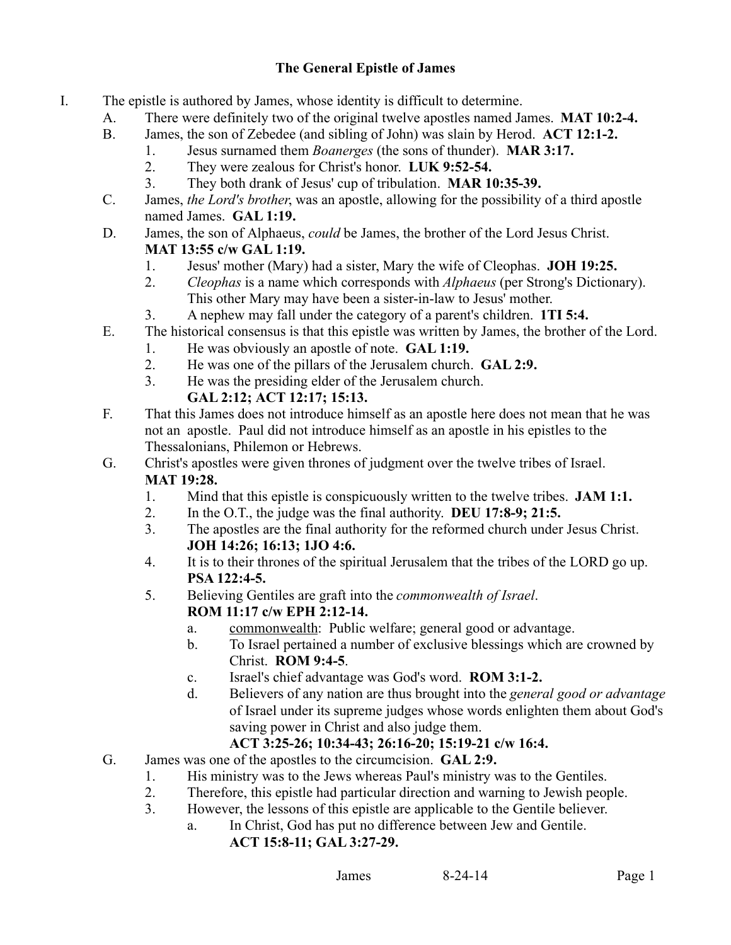## **The General Epistle of James**

- I. The epistle is authored by James, whose identity is difficult to determine.
	- A. There were definitely two of the original twelve apostles named James. **MAT 10:2-4.**
	- B. James, the son of Zebedee (and sibling of John) was slain by Herod. **ACT 12:1-2.**
		- 1. Jesus surnamed them *Boanerges* (the sons of thunder). **MAR 3:17.**
			- 2. They were zealous for Christ's honor. **LUK 9:52-54.**
			- 3. They both drank of Jesus' cup of tribulation. **MAR 10:35-39.**
	- C. James, *the Lord's brother*, was an apostle, allowing for the possibility of a third apostle named James. **GAL 1:19.**
	- D. James, the son of Alphaeus, *could* be James, the brother of the Lord Jesus Christ. **MAT 13:55 c/w GAL 1:19.**
		- 1. Jesus' mother (Mary) had a sister, Mary the wife of Cleophas. **JOH 19:25.**
		- 2. *Cleophas* is a name which corresponds with *Alphaeus* (per Strong's Dictionary). This other Mary may have been a sister-in-law to Jesus' mother.
		- 3. A nephew may fall under the category of a parent's children. **1TI 5:4.**
	- E. The historical consensus is that this epistle was written by James, the brother of the Lord.
		- 1. He was obviously an apostle of note. **GAL 1:19.**
		- 2. He was one of the pillars of the Jerusalem church. **GAL 2:9.**
		- 3. He was the presiding elder of the Jerusalem church.

# **GAL 2:12; ACT 12:17; 15:13.**

- F. That this James does not introduce himself as an apostle here does not mean that he was not an apostle. Paul did not introduce himself as an apostle in his epistles to the Thessalonians, Philemon or Hebrews.
- G. Christ's apostles were given thrones of judgment over the twelve tribes of Israel. **MAT 19:28.**
	- 1. Mind that this epistle is conspicuously written to the twelve tribes. **JAM 1:1.**
	- 2. In the O.T., the judge was the final authority. **DEU 17:8-9; 21:5.**
	- 3. The apostles are the final authority for the reformed church under Jesus Christ. **JOH 14:26; 16:13; 1JO 4:6.**
	- 4. It is to their thrones of the spiritual Jerusalem that the tribes of the LORD go up. **PSA 122:4-5.**
	- 5. Believing Gentiles are graft into the *commonwealth of Israel*. **ROM 11:17 c/w EPH 2:12-14.**
		- a. commonwealth: Public welfare; general good or advantage.
		- b. To Israel pertained a number of exclusive blessings which are crowned by Christ. **ROM 9:4-5**.
		- c. Israel's chief advantage was God's word. **ROM 3:1-2.**
		- d. Believers of any nation are thus brought into the *general good or advantage* of Israel under its supreme judges whose words enlighten them about God's saving power in Christ and also judge them.

# **ACT 3:25-26; 10:34-43; 26:16-20; 15:19-21 c/w 16:4.**

- G. James was one of the apostles to the circumcision. **GAL 2:9.**
	- 1. His ministry was to the Jews whereas Paul's ministry was to the Gentiles.
	- 2. Therefore, this epistle had particular direction and warning to Jewish people.
	- 3. However, the lessons of this epistle are applicable to the Gentile believer.
		- a. In Christ, God has put no difference between Jew and Gentile. **ACT 15:8-11; GAL 3:27-29.**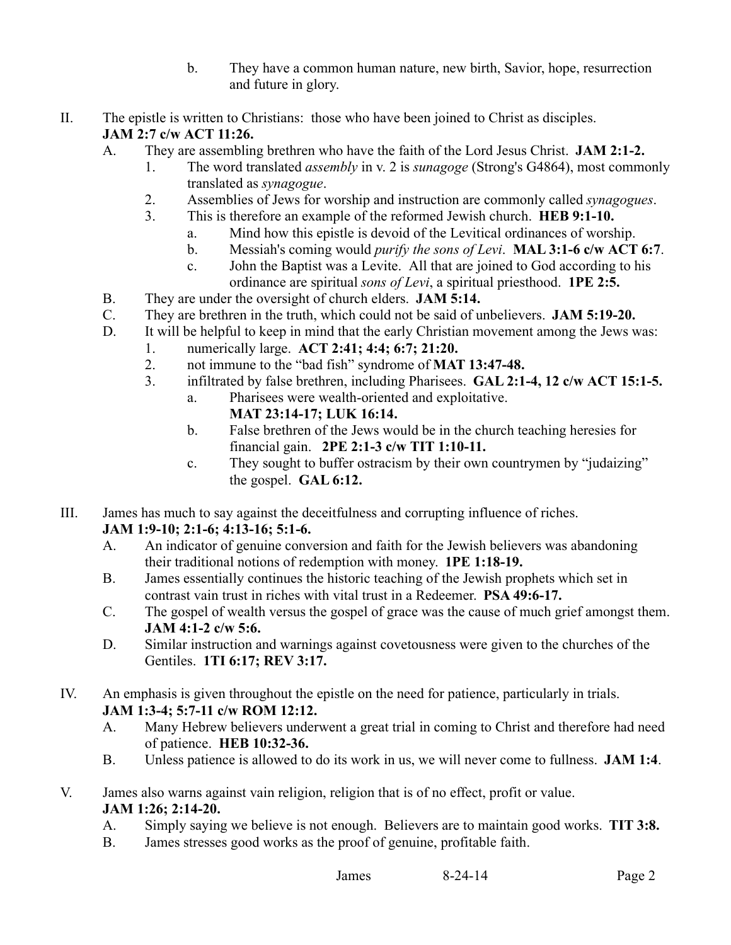- b. They have a common human nature, new birth, Savior, hope, resurrection and future in glory.
- II. The epistle is written to Christians: those who have been joined to Christ as disciples. **JAM 2:7 c/w ACT 11:26.** 
	- A. They are assembling brethren who have the faith of the Lord Jesus Christ. **JAM 2:1-2.**
		- 1. The word translated *assembly* in v. 2 is *sunagoge* (Strong's G4864), most commonly translated as *synagogue*.
		- 2. Assemblies of Jews for worship and instruction are commonly called *synagogues*.
		- 3. This is therefore an example of the reformed Jewish church. **HEB 9:1-10.**
			- a. Mind how this epistle is devoid of the Levitical ordinances of worship.
			- b. Messiah's coming would *purify the sons of Levi*. **MAL 3:1-6 c/w ACT 6:7**.
			- c. John the Baptist was a Levite. All that are joined to God according to his ordinance are spiritual *sons of Levi*, a spiritual priesthood. **1PE 2:5.**
	- B. They are under the oversight of church elders. **JAM 5:14.**
	- C. They are brethren in the truth, which could not be said of unbelievers. **JAM 5:19-20.**
	- D. It will be helpful to keep in mind that the early Christian movement among the Jews was:
		- 1. numerically large. **ACT 2:41; 4:4; 6:7; 21:20.**
			- 2. not immune to the "bad fish" syndrome of **MAT 13:47-48.**
			- 3. infiltrated by false brethren, including Pharisees. **GAL 2:1-4, 12 c/w ACT 15:1-5.**
				- a. Pharisees were wealth-oriented and exploitative.
					- **MAT 23:14-17; LUK 16:14.**
				- b. False brethren of the Jews would be in the church teaching heresies for financial gain. **2PE 2:1-3 c/w TIT 1:10-11.**
				- c. They sought to buffer ostracism by their own countrymen by "judaizing" the gospel. **GAL 6:12.**
- III. James has much to say against the deceitfulness and corrupting influence of riches.

#### **JAM 1:9-10; 2:1-6; 4:13-16; 5:1-6.**

- A. An indicator of genuine conversion and faith for the Jewish believers was abandoning their traditional notions of redemption with money. **1PE 1:18-19.**
- B. James essentially continues the historic teaching of the Jewish prophets which set in contrast vain trust in riches with vital trust in a Redeemer. **PSA 49:6-17.**
- C. The gospel of wealth versus the gospel of grace was the cause of much grief amongst them. **JAM 4:1-2 c/w 5:6.**
- D. Similar instruction and warnings against covetousness were given to the churches of the Gentiles. **1TI 6:17; REV 3:17.**
- IV. An emphasis is given throughout the epistle on the need for patience, particularly in trials. **JAM 1:3-4; 5:7-11 c/w ROM 12:12.**
	- A. Many Hebrew believers underwent a great trial in coming to Christ and therefore had need of patience. **HEB 10:32-36.**
	- B. Unless patience is allowed to do its work in us, we will never come to fullness. **JAM 1:4**.
- V. James also warns against vain religion, religion that is of no effect, profit or value. **JAM 1:26; 2:14-20.**
	- A. Simply saying we believe is not enough. Believers are to maintain good works. **TIT 3:8.**
	- B. James stresses good works as the proof of genuine, profitable faith.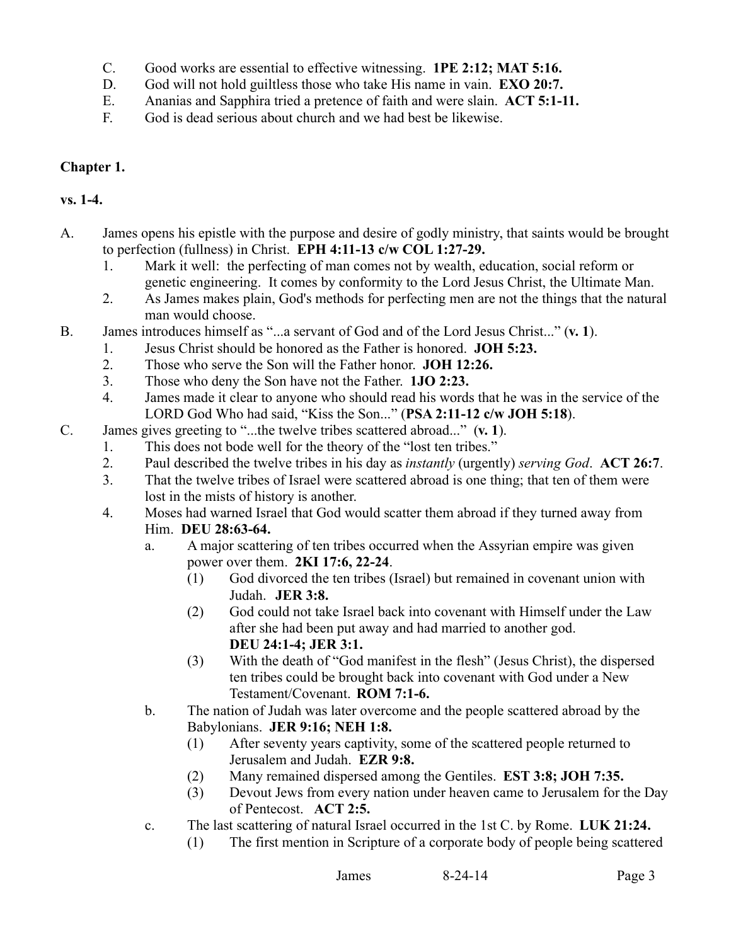- C. Good works are essential to effective witnessing. **1PE 2:12; MAT 5:16.**
- D. God will not hold guiltless those who take His name in vain. **EXO 20:7.**
- E. Ananias and Sapphira tried a pretence of faith and were slain. **ACT 5:1-11.**
- F. God is dead serious about church and we had best be likewise.

### **Chapter 1.**

### **vs. 1-4.**

- A. James opens his epistle with the purpose and desire of godly ministry, that saints would be brought to perfection (fullness) in Christ. **EPH 4:11-13 c/w COL 1:27-29.**
	- 1. Mark it well: the perfecting of man comes not by wealth, education, social reform or genetic engineering. It comes by conformity to the Lord Jesus Christ, the Ultimate Man.
	- 2. As James makes plain, God's methods for perfecting men are not the things that the natural man would choose.
- B. James introduces himself as "...a servant of God and of the Lord Jesus Christ..." (**v. 1**).
	- 1. Jesus Christ should be honored as the Father is honored. **JOH 5:23.**
	- 2. Those who serve the Son will the Father honor. **JOH 12:26.**
	- 3. Those who deny the Son have not the Father. **1JO 2:23.**
	- 4. James made it clear to anyone who should read his words that he was in the service of the LORD God Who had said, "Kiss the Son..." (**PSA 2:11-12 c/w JOH 5:18**).
- C. James gives greeting to "...the twelve tribes scattered abroad..." (**v. 1**).
	- 1. This does not bode well for the theory of the "lost ten tribes."
	- 2. Paul described the twelve tribes in his day as *instantly* (urgently) *serving God*. **ACT 26:7**.
	- 3. That the twelve tribes of Israel were scattered abroad is one thing; that ten of them were lost in the mists of history is another.
	- 4. Moses had warned Israel that God would scatter them abroad if they turned away from Him. **DEU 28:63-64.**
		- a. A major scattering of ten tribes occurred when the Assyrian empire was given power over them. **2KI 17:6, 22-24**.
			- (1) God divorced the ten tribes (Israel) but remained in covenant union with Judah. **JER 3:8.**
			- (2) God could not take Israel back into covenant with Himself under the Law after she had been put away and had married to another god. **DEU 24:1-4; JER 3:1.**
			- (3) With the death of "God manifest in the flesh" (Jesus Christ), the dispersed ten tribes could be brought back into covenant with God under a New Testament/Covenant. **ROM 7:1-6.**
		- b. The nation of Judah was later overcome and the people scattered abroad by the Babylonians. **JER 9:16; NEH 1:8.**
			- (1) After seventy years captivity, some of the scattered people returned to Jerusalem and Judah. **EZR 9:8.**
			- (2) Many remained dispersed among the Gentiles. **EST 3:8; JOH 7:35.**
			- (3) Devout Jews from every nation under heaven came to Jerusalem for the Day of Pentecost. **ACT 2:5.**
		- c. The last scattering of natural Israel occurred in the 1st C. by Rome. **LUK 21:24.**
			- (1) The first mention in Scripture of a corporate body of people being scattered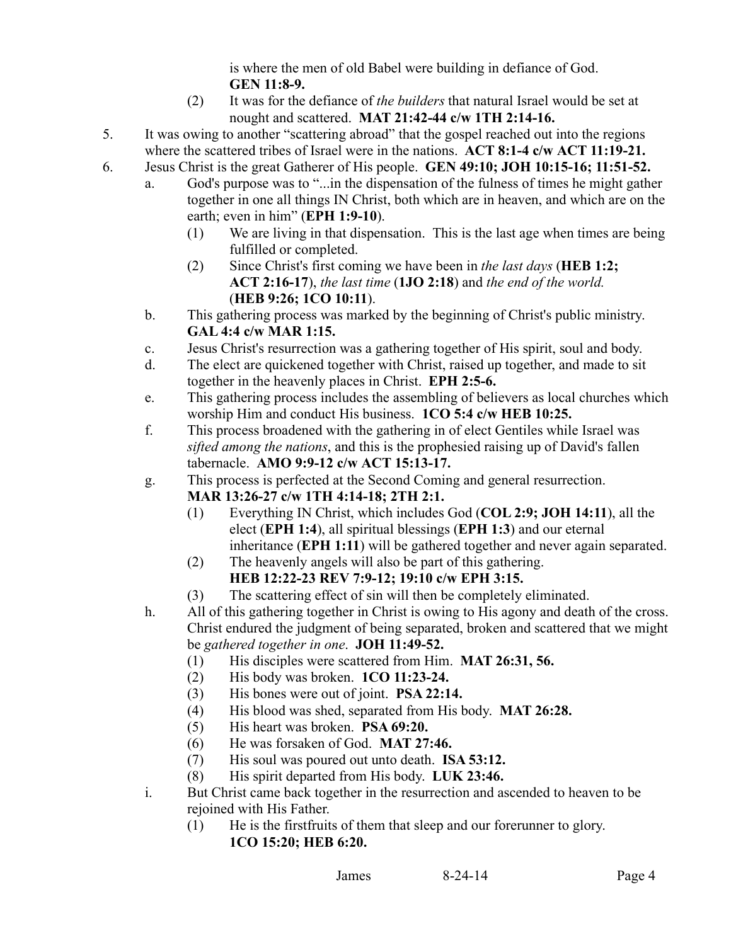is where the men of old Babel were building in defiance of God. **GEN 11:8-9.**

- (2) It was for the defiance of *the builders* that natural Israel would be set at nought and scattered. **MAT 21:42-44 c/w 1TH 2:14-16.**
- 5. It was owing to another "scattering abroad" that the gospel reached out into the regions where the scattered tribes of Israel were in the nations. **ACT 8:1-4 c/w ACT 11:19-21.**
- 6. Jesus Christ is the great Gatherer of His people. **GEN 49:10; JOH 10:15-16; 11:51-52.** 
	- a. God's purpose was to "...in the dispensation of the fulness of times he might gather together in one all things IN Christ, both which are in heaven, and which are on the earth; even in him" (**EPH 1:9-10**).
		- (1) We are living in that dispensation. This is the last age when times are being fulfilled or completed.
		- (2) Since Christ's first coming we have been in *the last days* (**HEB 1:2; ACT 2:16-17**), *the last time* (**1JO 2:18**) and *the end of the world.* (**HEB 9:26; 1CO 10:11**).
	- b. This gathering process was marked by the beginning of Christ's public ministry. **GAL 4:4 c/w MAR 1:15.**
	- c. Jesus Christ's resurrection was a gathering together of His spirit, soul and body.
	- d. The elect are quickened together with Christ, raised up together, and made to sit together in the heavenly places in Christ. **EPH 2:5-6.**
	- e. This gathering process includes the assembling of believers as local churches which worship Him and conduct His business. **1CO 5:4 c/w HEB 10:25.**
	- f. This process broadened with the gathering in of elect Gentiles while Israel was *sifted among the nations*, and this is the prophesied raising up of David's fallen tabernacle. **AMO 9:9-12 c/w ACT 15:13-17.**
	- g. This process is perfected at the Second Coming and general resurrection. **MAR 13:26-27 c/w 1TH 4:14-18; 2TH 2:1.** 
		- (1) Everything IN Christ, which includes God (**COL 2:9; JOH 14:11**), all the elect (**EPH 1:4**), all spiritual blessings (**EPH 1:3**) and our eternal inheritance (**EPH 1:11**) will be gathered together and never again separated.
		- (2) The heavenly angels will also be part of this gathering. **HEB 12:22-23 REV 7:9-12; 19:10 c/w EPH 3:15.**
		- (3) The scattering effect of sin will then be completely eliminated.
	- h. All of this gathering together in Christ is owing to His agony and death of the cross. Christ endured the judgment of being separated, broken and scattered that we might be *gathered together in one*. **JOH 11:49-52.**
		- (1) His disciples were scattered from Him. **MAT 26:31, 56.**
		- (2) His body was broken. **1CO 11:23-24.**
		- (3) His bones were out of joint. **PSA 22:14.**
		- (4) His blood was shed, separated from His body. **MAT 26:28.**
		- (5) His heart was broken. **PSA 69:20.**
		- (6) He was forsaken of God. **MAT 27:46.**
		- (7) His soul was poured out unto death. **ISA 53:12.**
		- (8) His spirit departed from His body. **LUK 23:46.**
	- i. But Christ came back together in the resurrection and ascended to heaven to be rejoined with His Father.
		- (1) He is the firstfruits of them that sleep and our forerunner to glory. **1CO 15:20; HEB 6:20.**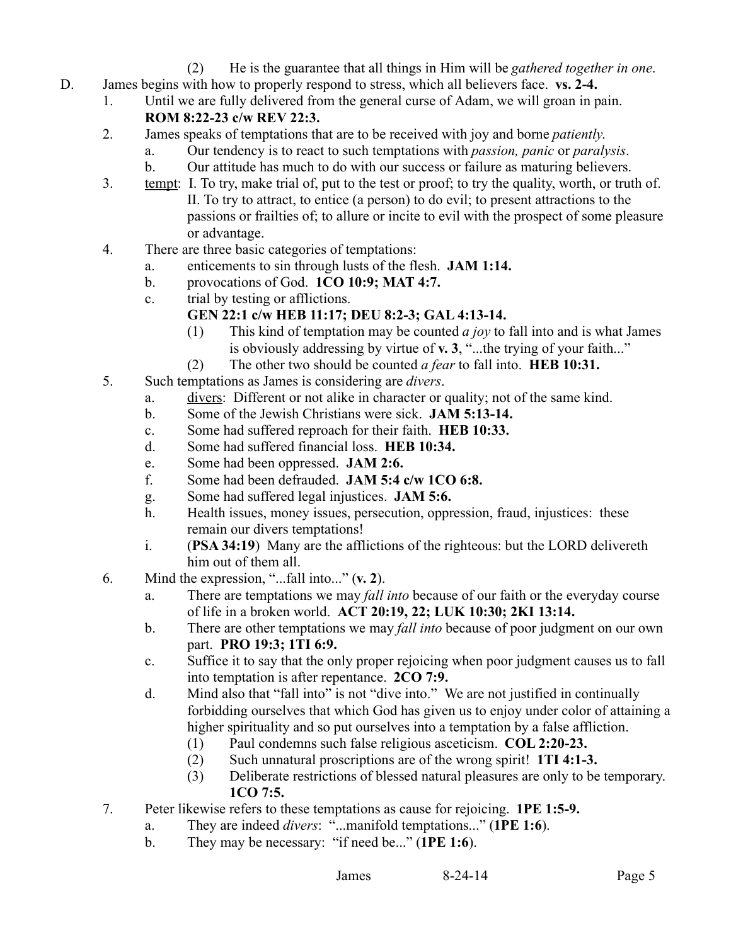- (2) He is the guarantee that all things in Him will be *gathered together in one*.
- D. James begins with how to properly respond to stress, which all believers face. **vs. 2-4.**
	- 1. Until we are fully delivered from the general curse of Adam, we will groan in pain. **ROM 8:22-23 c/w REV 22:3.** 
		- 2. James speaks of temptations that are to be received with joy and borne *patiently*.
			- a. Our tendency is to react to such temptations with *passion, panic* or *paralysis*.
			- b. Our attitude has much to do with our success or failure as maturing believers.
		- 3. tempt: I. To try, make trial of, put to the test or proof; to try the quality, worth, or truth of. II. To try to attract, to entice (a person) to do evil; to present attractions to the passions or frailties of; to allure or incite to evil with the prospect of some pleasure or advantage.
		- 4. There are three basic categories of temptations:
			- a. enticements to sin through lusts of the flesh. **JAM 1:14.**
			- b. provocations of God. **1CO 10:9; MAT 4:7.**
			- c. trial by testing or afflictions.

# **GEN 22:1 c/w HEB 11:17; DEU 8:2-3; GAL 4:13-14.**

- (1) This kind of temptation may be counted *a joy* to fall into and is what James is obviously addressing by virtue of **v. 3**, "...the trying of your faith..."
- (2) The other two should be counted *a fear* to fall into. **HEB 10:31.**
- 5. Such temptations as James is considering are *divers*.
	- a. divers: Different or not alike in character or quality; not of the same kind.
	- b. Some of the Jewish Christians were sick. **JAM 5:13-14.**
	- c. Some had suffered reproach for their faith. **HEB 10:33.**
	- d. Some had suffered financial loss. **HEB 10:34.**
	- e. Some had been oppressed. **JAM 2:6.**
	- f. Some had been defrauded. **JAM 5:4 c/w 1CO 6:8.**
	- g. Some had suffered legal injustices. **JAM 5:6.**
	- h. Health issues, money issues, persecution, oppression, fraud, injustices: these remain our divers temptations!
	- i. (**PSA 34:19**) Many are the afflictions of the righteous: but the LORD delivereth him out of them all.
- 6. Mind the expression, "...fall into..." (**v. 2**).
	- a. There are temptations we may *fall into* because of our faith or the everyday course of life in a broken world. **ACT 20:19, 22; LUK 10:30; 2KI 13:14.**
	- b. There are other temptations we may *fall into* because of poor judgment on our own part. **PRO 19:3; 1TI 6:9.**
	- c. Suffice it to say that the only proper rejoicing when poor judgment causes us to fall into temptation is after repentance. **2CO 7:9.**
	- d. Mind also that "fall into" is not "dive into." We are not justified in continually forbidding ourselves that which God has given us to enjoy under color of attaining a higher spirituality and so put ourselves into a temptation by a false affliction.
		- (1) Paul condemns such false religious asceticism. **COL 2:20-23.**
		- (2) Such unnatural proscriptions are of the wrong spirit! **1TI 4:1-3.**
		- (3) Deliberate restrictions of blessed natural pleasures are only to be temporary. **1CO 7:5.**
- 7. Peter likewise refers to these temptations as cause for rejoicing. **1PE 1:5-9.**
	- a. They are indeed *divers*: "...manifold temptations..." (**1PE 1:6**).
	- b. They may be necessary: "if need be..." (**1PE 1:6**).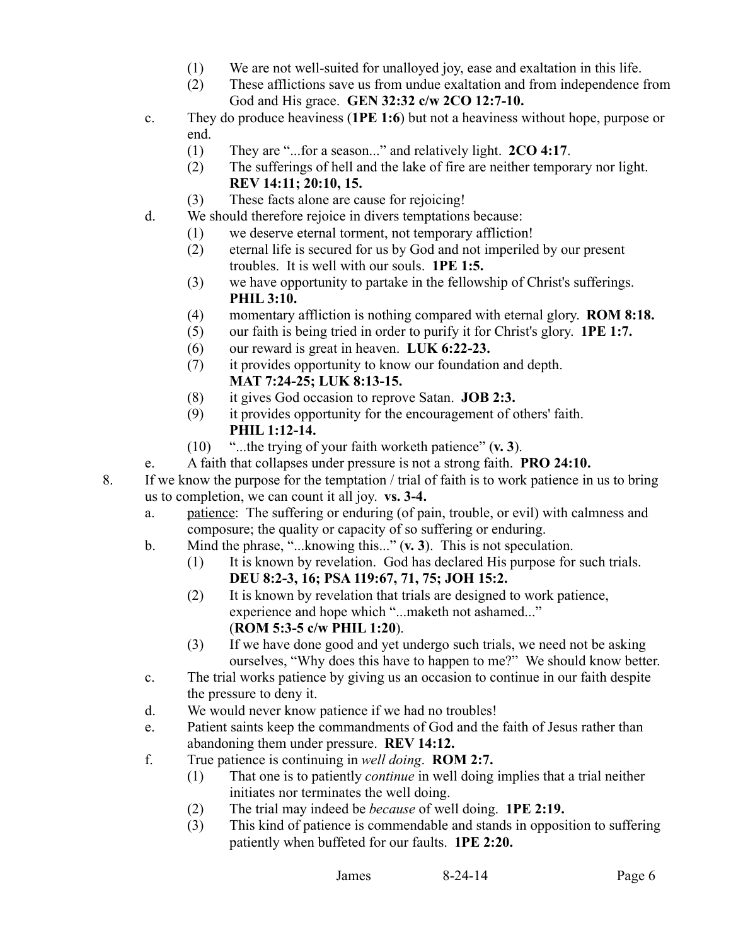- (1) We are not well-suited for unalloyed joy, ease and exaltation in this life.
- (2) These afflictions save us from undue exaltation and from independence from God and His grace. **GEN 32:32 c/w 2CO 12:7-10.**
- c. They do produce heaviness (**1PE 1:6**) but not a heaviness without hope, purpose or end.
	- (1) They are "...for a season..." and relatively light. **2CO 4:17**.
	- (2) The sufferings of hell and the lake of fire are neither temporary nor light. **REV 14:11; 20:10, 15.**
	- (3) These facts alone are cause for rejoicing!
- d. We should therefore rejoice in divers temptations because:
	- (1) we deserve eternal torment, not temporary affliction!
	- (2) eternal life is secured for us by God and not imperiled by our present troubles. It is well with our souls. **1PE 1:5.**
	- (3) we have opportunity to partake in the fellowship of Christ's sufferings. **PHIL 3:10.**
	- (4) momentary affliction is nothing compared with eternal glory. **ROM 8:18.**
	- (5) our faith is being tried in order to purify it for Christ's glory. **1PE 1:7.**
	- (6) our reward is great in heaven. **LUK 6:22-23.**
	- (7) it provides opportunity to know our foundation and depth. **MAT 7:24-25; LUK 8:13-15.**
	- (8) it gives God occasion to reprove Satan. **JOB 2:3.**
	- (9) it provides opportunity for the encouragement of others' faith. **PHIL 1:12-14.**
	- (10) "...the trying of your faith worketh patience" (**v. 3**).
- e. A faith that collapses under pressure is not a strong faith. **PRO 24:10.**
- 8. If we know the purpose for the temptation / trial of faith is to work patience in us to bring us to completion, we can count it all joy. **vs. 3-4.**
	- a. patience: The suffering or enduring (of pain, trouble, or evil) with calmness and composure; the quality or capacity of so suffering or enduring.
	- b. Mind the phrase, "...knowing this..." (**v. 3**). This is not speculation.
		- (1) It is known by revelation. God has declared His purpose for such trials. **DEU 8:2-3, 16; PSA 119:67, 71, 75; JOH 15:2.**
		- (2) It is known by revelation that trials are designed to work patience, experience and hope which "...maketh not ashamed..." (**ROM 5:3-5 c/w PHIL 1:20**).
		- (3) If we have done good and yet undergo such trials, we need not be asking ourselves, "Why does this have to happen to me?" We should know better.
	- c. The trial works patience by giving us an occasion to continue in our faith despite the pressure to deny it.
	- d. We would never know patience if we had no troubles!
	- e. Patient saints keep the commandments of God and the faith of Jesus rather than abandoning them under pressure. **REV 14:12.**
	- f. True patience is continuing in *well doing*. **ROM 2:7.**
		- (1) That one is to patiently *continue* in well doing implies that a trial neither initiates nor terminates the well doing.
		- (2) The trial may indeed be *because* of well doing. **1PE 2:19.**
		- (3) This kind of patience is commendable and stands in opposition to suffering patiently when buffeted for our faults. **1PE 2:20.**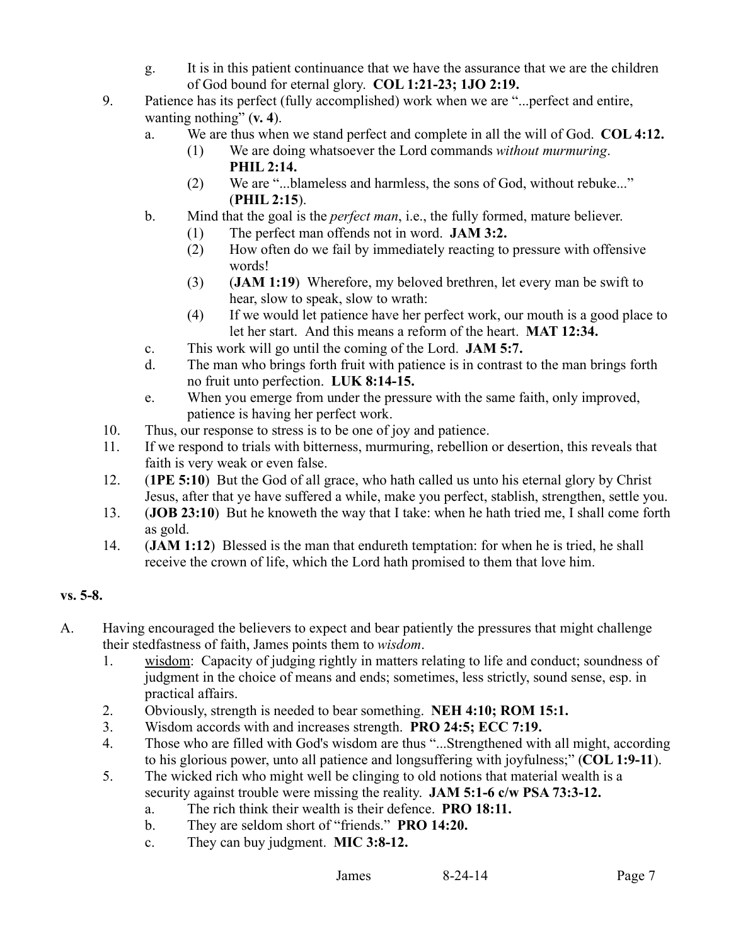- g. It is in this patient continuance that we have the assurance that we are the children of God bound for eternal glory. **COL 1:21-23; 1JO 2:19.**
- 9. Patience has its perfect (fully accomplished) work when we are "...perfect and entire, wanting nothing" (**v. 4**).
	- a. We are thus when we stand perfect and complete in all the will of God. **COL 4:12.**
		- (1) We are doing whatsoever the Lord commands *without murmuring*. **PHIL 2:14.**
		- (2) We are "...blameless and harmless, the sons of God, without rebuke..." (**PHIL 2:15**).
	- b. Mind that the goal is the *perfect man*, i.e., the fully formed, mature believer.
		- (1) The perfect man offends not in word. **JAM 3:2.**
		- (2) How often do we fail by immediately reacting to pressure with offensive words!
		- (3) (**JAM 1:19**) Wherefore, my beloved brethren, let every man be swift to hear, slow to speak, slow to wrath:
		- (4) If we would let patience have her perfect work, our mouth is a good place to let her start. And this means a reform of the heart. **MAT 12:34.**
	- c. This work will go until the coming of the Lord. **JAM 5:7.**
	- d. The man who brings forth fruit with patience is in contrast to the man brings forth no fruit unto perfection. **LUK 8:14-15.**
	- e. When you emerge from under the pressure with the same faith, only improved, patience is having her perfect work.
- 10. Thus, our response to stress is to be one of joy and patience.
- 11. If we respond to trials with bitterness, murmuring, rebellion or desertion, this reveals that faith is very weak or even false.
- 12. (**1PE 5:10**) But the God of all grace, who hath called us unto his eternal glory by Christ Jesus, after that ye have suffered a while, make you perfect, stablish, strengthen, settle you.
- 13. (**JOB 23:10**) But he knoweth the way that I take: when he hath tried me, I shall come forth as gold.
- 14. (**JAM 1:12**) Blessed is the man that endureth temptation: for when he is tried, he shall receive the crown of life, which the Lord hath promised to them that love him.

# **vs. 5-8.**

- A. Having encouraged the believers to expect and bear patiently the pressures that might challenge their stedfastness of faith, James points them to *wisdom*.
	- 1. wisdom: Capacity of judging rightly in matters relating to life and conduct; soundness of judgment in the choice of means and ends; sometimes, less strictly, sound sense, esp. in practical affairs.
	- 2. Obviously, strength is needed to bear something. **NEH 4:10; ROM 15:1.**
	- 3. Wisdom accords with and increases strength. **PRO 24:5; ECC 7:19.**
	- 4. Those who are filled with God's wisdom are thus "...Strengthened with all might, according to his glorious power, unto all patience and longsuffering with joyfulness;" (**COL 1:9-11**).
	- 5. The wicked rich who might well be clinging to old notions that material wealth is a security against trouble were missing the reality. **JAM 5:1-6 c/w PSA 73:3-12.**
		- a. The rich think their wealth is their defence. **PRO 18:11.**
		- b. They are seldom short of "friends." **PRO 14:20.**
		- c. They can buy judgment. **MIC 3:8-12.**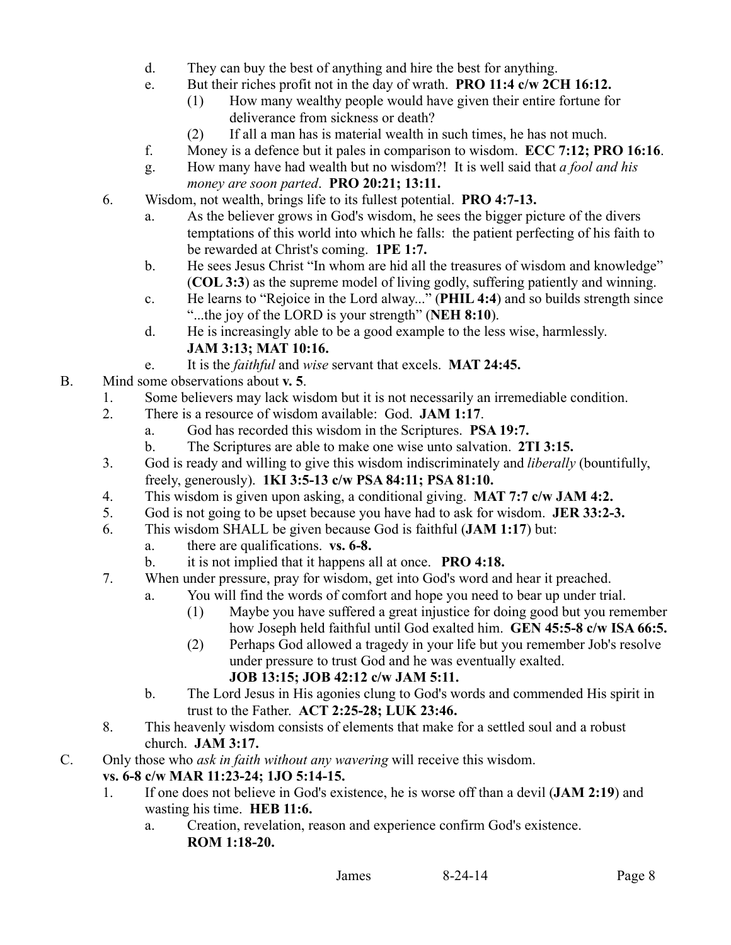- d. They can buy the best of anything and hire the best for anything.
- e. But their riches profit not in the day of wrath. **PRO 11:4 c/w 2CH 16:12.**
	- (1) How many wealthy people would have given their entire fortune for deliverance from sickness or death?
	- (2) If all a man has is material wealth in such times, he has not much.
- f. Money is a defence but it pales in comparison to wisdom. **ECC 7:12; PRO 16:16**.
- g. How many have had wealth but no wisdom?! It is well said that *a fool and his money are soon parted*. **PRO 20:21; 13:11.**
- 6. Wisdom, not wealth, brings life to its fullest potential. **PRO 4:7-13.**
	- a. As the believer grows in God's wisdom, he sees the bigger picture of the divers temptations of this world into which he falls: the patient perfecting of his faith to be rewarded at Christ's coming. **1PE 1:7.**
	- b. He sees Jesus Christ "In whom are hid all the treasures of wisdom and knowledge" (**COL 3:3**) as the supreme model of living godly, suffering patiently and winning.
	- c. He learns to "Rejoice in the Lord alway..." (**PHIL 4:4**) and so builds strength since "...the joy of the LORD is your strength" (**NEH 8:10**).
	- d. He is increasingly able to be a good example to the less wise, harmlessly. **JAM 3:13; MAT 10:16.**
	- e. It is the *faithful* and *wise* servant that excels. **MAT 24:45.**
- B. Mind some observations about **v. 5**.
	- 1. Some believers may lack wisdom but it is not necessarily an irremediable condition.
	- 2. There is a resource of wisdom available: God. **JAM 1:17**.
		- a. God has recorded this wisdom in the Scriptures. **PSA 19:7.**
		- b. The Scriptures are able to make one wise unto salvation. **2TI 3:15.**
	- 3. God is ready and willing to give this wisdom indiscriminately and *liberally* (bountifully, freely, generously). **1KI 3:5-13 c/w PSA 84:11; PSA 81:10.**
	- 4. This wisdom is given upon asking, a conditional giving. **MAT 7:7 c/w JAM 4:2.**
	- 5. God is not going to be upset because you have had to ask for wisdom. **JER 33:2-3.**
	- 6. This wisdom SHALL be given because God is faithful (**JAM 1:17**) but:
		- a. there are qualifications. **vs. 6-8.**
		- b. it is not implied that it happens all at once. **PRO 4:18.**
	- 7. When under pressure, pray for wisdom, get into God's word and hear it preached.
		- a. You will find the words of comfort and hope you need to bear up under trial.
			- (1) Maybe you have suffered a great injustice for doing good but you remember how Joseph held faithful until God exalted him. **GEN 45:5-8 c/w ISA 66:5.**
			- (2) Perhaps God allowed a tragedy in your life but you remember Job's resolve under pressure to trust God and he was eventually exalted. **JOB 13:15; JOB 42:12 c/w JAM 5:11.**
		- b. The Lord Jesus in His agonies clung to God's words and commended His spirit in trust to the Father. **ACT 2:25-28; LUK 23:46.**
	- 8. This heavenly wisdom consists of elements that make for a settled soul and a robust church. **JAM 3:17.**
- C. Only those who *ask in faith without any wavering* will receive this wisdom.

# **vs. 6-8 c/w MAR 11:23-24; 1JO 5:14-15.**

- 1. If one does not believe in God's existence, he is worse off than a devil (**JAM 2:19**) and wasting his time. **HEB 11:6.**
	- a. Creation, revelation, reason and experience confirm God's existence. **ROM 1:18-20.**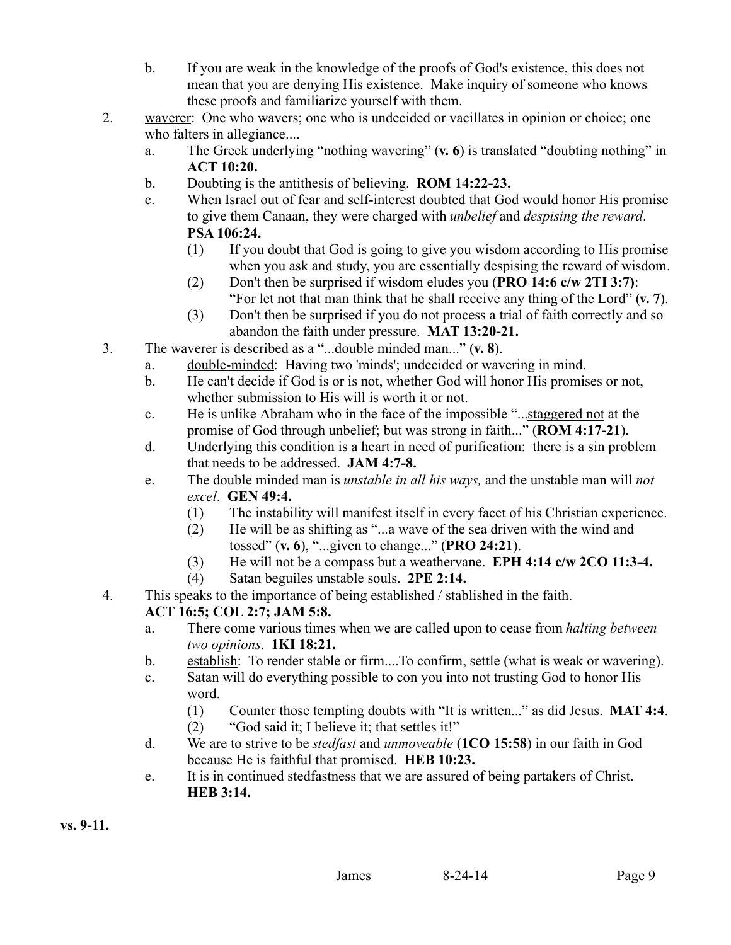- b. If you are weak in the knowledge of the proofs of God's existence, this does not mean that you are denying His existence. Make inquiry of someone who knows these proofs and familiarize yourself with them.
- 2. waverer: One who wavers; one who is undecided or vacillates in opinion or choice; one who falters in allegiance....
	- a. The Greek underlying "nothing wavering" (**v. 6**) is translated "doubting nothing" in **ACT 10:20.**
	- b. Doubting is the antithesis of believing. **ROM 14:22-23.**
	- c. When Israel out of fear and self-interest doubted that God would honor His promise to give them Canaan, they were charged with *unbelief* and *despising the reward*. **PSA 106:24.**
		- (1) If you doubt that God is going to give you wisdom according to His promise when you ask and study, you are essentially despising the reward of wisdom.
		- (2) Don't then be surprised if wisdom eludes you (**PRO 14:6 c/w 2TI 3:7)**: "For let not that man think that he shall receive any thing of the Lord" (**v. 7**).
		- (3) Don't then be surprised if you do not process a trial of faith correctly and so abandon the faith under pressure. **MAT 13:20-21.**
- 3. The waverer is described as a "...double minded man..." (**v. 8**).
	- a. double-minded: Having two 'minds'; undecided or wavering in mind.
	- b. He can't decide if God is or is not, whether God will honor His promises or not, whether submission to His will is worth it or not.
	- c. He is unlike Abraham who in the face of the impossible "...staggered not at the promise of God through unbelief; but was strong in faith..." (**ROM 4:17-21**).
	- d. Underlying this condition is a heart in need of purification: there is a sin problem that needs to be addressed. **JAM 4:7-8.**
	- e. The double minded man is *unstable in all his ways,* and the unstable man will *not excel*. **GEN 49:4.**
		- (1) The instability will manifest itself in every facet of his Christian experience.
		- (2) He will be as shifting as "...a wave of the sea driven with the wind and tossed" (**v. 6**), "...given to change..." (**PRO 24:21**).
		- (3) He will not be a compass but a weathervane. **EPH 4:14 c/w 2CO 11:3-4.**
		- (4) Satan beguiles unstable souls. **2PE 2:14.**
- 4. This speaks to the importance of being established / stablished in the faith.

# **ACT 16:5; COL 2:7; JAM 5:8.**

- a. There come various times when we are called upon to cease from *halting between two opinions*. **1KI 18:21.**
- b. establish: To render stable or firm....To confirm, settle (what is weak or wavering).
- c. Satan will do everything possible to con you into not trusting God to honor His word.
	- (1) Counter those tempting doubts with "It is written..." as did Jesus. **MAT 4:4**.
	- (2) "God said it; I believe it; that settles it!"
- d. We are to strive to be *stedfast* and *unmoveable* (**1CO 15:58**) in our faith in God because He is faithful that promised. **HEB 10:23.**
- e. It is in continued stedfastness that we are assured of being partakers of Christ. **HEB 3:14.**

**vs. 9-11.**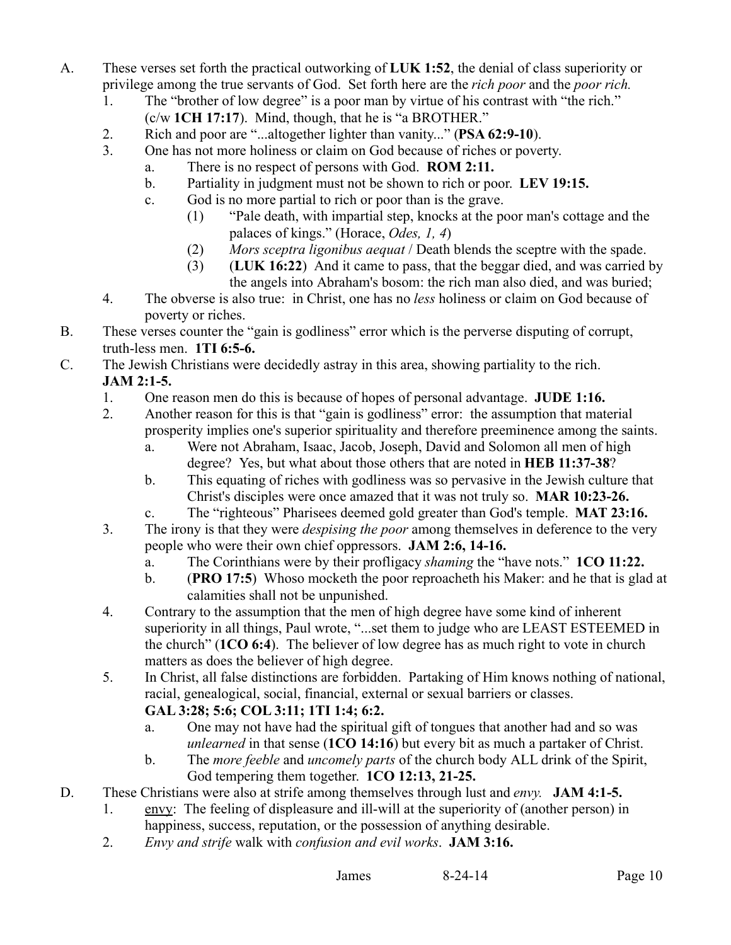- A. These verses set forth the practical outworking of **LUK 1:52**, the denial of class superiority or privilege among the true servants of God. Set forth here are the *rich poor* and the *poor rich.*
	- 1. The "brother of low degree" is a poor man by virtue of his contrast with "the rich."
		- (c/w **1CH 17:17**). Mind, though, that he is "a BROTHER."
	- 2. Rich and poor are "...altogether lighter than vanity..." (**PSA 62:9-10**).
	- 3. One has not more holiness or claim on God because of riches or poverty.
		- a. There is no respect of persons with God. **ROM 2:11.**
		- b. Partiality in judgment must not be shown to rich or poor. **LEV 19:15.**
		- c. God is no more partial to rich or poor than is the grave.
			- (1) "Pale death, with impartial step, knocks at the poor man's cottage and the palaces of kings." (Horace, *Odes, 1, 4*)
			- (2) *Mors sceptra ligonibus aequat* / Death blends the sceptre with the spade.
			- (3) (**LUK 16:22**) And it came to pass, that the beggar died, and was carried by the angels into Abraham's bosom: the rich man also died, and was buried;
	- 4. The obverse is also true: in Christ, one has no *less* holiness or claim on God because of poverty or riches.
- B. These verses counter the "gain is godliness" error which is the perverse disputing of corrupt, truth-less men. **1TI 6:5-6.**
- C. The Jewish Christians were decidedly astray in this area, showing partiality to the rich. **JAM 2:1-5.**
	- 1. One reason men do this is because of hopes of personal advantage. **JUDE 1:16.**
	- 2. Another reason for this is that "gain is godliness" error: the assumption that material prosperity implies one's superior spirituality and therefore preeminence among the saints.
		- a. Were not Abraham, Isaac, Jacob, Joseph, David and Solomon all men of high degree? Yes, but what about those others that are noted in **HEB 11:37-38**?
		- b. This equating of riches with godliness was so pervasive in the Jewish culture that Christ's disciples were once amazed that it was not truly so. **MAR 10:23-26.**
		- c. The "righteous" Pharisees deemed gold greater than God's temple. **MAT 23:16.**
	- 3. The irony is that they were *despising the poor* among themselves in deference to the very people who were their own chief oppressors. **JAM 2:6, 14-16.**
		- a. The Corinthians were by their profligacy *shaming* the "have nots." **1CO 11:22.**
		- b. (**PRO 17:5**) Whoso mocketh the poor reproacheth his Maker: and he that is glad at calamities shall not be unpunished.
	- 4. Contrary to the assumption that the men of high degree have some kind of inherent superiority in all things, Paul wrote, "...set them to judge who are LEAST ESTEEMED in the church" (**1CO 6:4**). The believer of low degree has as much right to vote in church matters as does the believer of high degree.
	- 5. In Christ, all false distinctions are forbidden. Partaking of Him knows nothing of national, racial, genealogical, social, financial, external or sexual barriers or classes.

# **GAL 3:28; 5:6; COL 3:11; 1TI 1:4; 6:2.**

- a. One may not have had the spiritual gift of tongues that another had and so was *unlearned* in that sense (**1CO 14:16**) but every bit as much a partaker of Christ.
- b. The *more feeble* and *uncomely parts* of the church body ALL drink of the Spirit, God tempering them together. **1CO 12:13, 21-25.**
- D. These Christians were also at strife among themselves through lust and *envy.* **JAM 4:1-5.**
	- 1. envy: The feeling of displeasure and ill-will at the superiority of (another person) in happiness, success, reputation, or the possession of anything desirable.
	- 2. *Envy and strife* walk with *confusion and evil works*. **JAM 3:16.**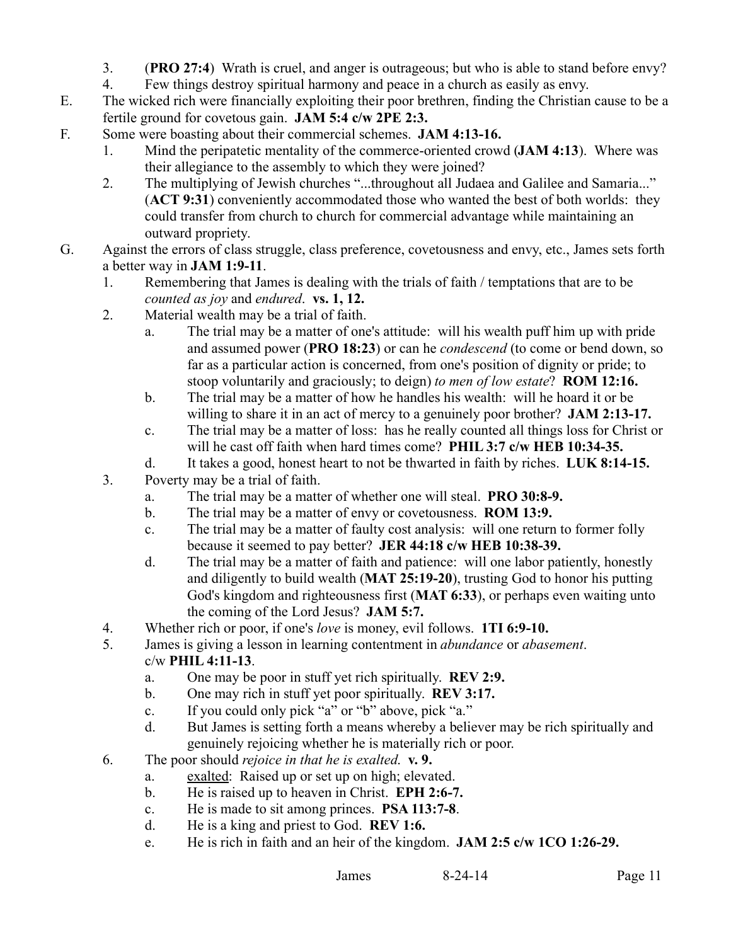- 3. (**PRO 27:4**) Wrath is cruel, and anger is outrageous; but who is able to stand before envy?
- 4. Few things destroy spiritual harmony and peace in a church as easily as envy.
- E. The wicked rich were financially exploiting their poor brethren, finding the Christian cause to be a fertile ground for covetous gain. **JAM 5:4 c/w 2PE 2:3.**
- F. Some were boasting about their commercial schemes. **JAM 4:13-16.**
	- 1. Mind the peripatetic mentality of the commerce-oriented crowd (**JAM 4:13**). Where was their allegiance to the assembly to which they were joined?
	- 2. The multiplying of Jewish churches "...throughout all Judaea and Galilee and Samaria..." (**ACT 9:31**) conveniently accommodated those who wanted the best of both worlds: they could transfer from church to church for commercial advantage while maintaining an outward propriety.
- G. Against the errors of class struggle, class preference, covetousness and envy, etc., James sets forth a better way in **JAM 1:9-11**.
	- 1. Remembering that James is dealing with the trials of faith / temptations that are to be *counted as joy* and *endured*. **vs. 1, 12.**
	- 2. Material wealth may be a trial of faith.
		- a. The trial may be a matter of one's attitude: will his wealth puff him up with pride and assumed power (**PRO 18:23**) or can he *condescend* (to come or bend down, so far as a particular action is concerned, from one's position of dignity or pride; to stoop voluntarily and graciously; to deign) *to men of low estate*? **ROM 12:16.**
		- b. The trial may be a matter of how he handles his wealth: will he hoard it or be willing to share it in an act of mercy to a genuinely poor brother? **JAM 2:13-17.**
		- c. The trial may be a matter of loss: has he really counted all things loss for Christ or will he cast off faith when hard times come? **PHIL 3:7 c/w HEB 10:34-35.**
		- d. It takes a good, honest heart to not be thwarted in faith by riches. **LUK 8:14-15.**
	- 3. Poverty may be a trial of faith.
		- a. The trial may be a matter of whether one will steal. **PRO 30:8-9.**
		- b. The trial may be a matter of envy or covetousness. **ROM 13:9.**
		- c. The trial may be a matter of faulty cost analysis: will one return to former folly because it seemed to pay better? **JER 44:18 c/w HEB 10:38-39.**
		- d. The trial may be a matter of faith and patience: will one labor patiently, honestly and diligently to build wealth (**MAT 25:19-20**), trusting God to honor his putting God's kingdom and righteousness first (**MAT 6:33**), or perhaps even waiting unto the coming of the Lord Jesus? **JAM 5:7.**
	- 4. Whether rich or poor, if one's *love* is money, evil follows. **1TI 6:9-10.**
	- 5. James is giving a lesson in learning contentment in *abundance* or *abasement*.

# c/w **PHIL 4:11-13**.

- a. One may be poor in stuff yet rich spiritually. **REV 2:9.**
- b. One may rich in stuff yet poor spiritually. **REV 3:17.**
- c. If you could only pick "a" or "b" above, pick "a."
- d. But James is setting forth a means whereby a believer may be rich spiritually and genuinely rejoicing whether he is materially rich or poor.
- 6. The poor should *rejoice in that he is exalted*. **v. 9.**
	- a. exalted: Raised up or set up on high; elevated.
	- b. He is raised up to heaven in Christ. **EPH 2:6-7.**
	- c. He is made to sit among princes. **PSA 113:7-8**.
	- d. He is a king and priest to God. **REV 1:6.**
	- e. He is rich in faith and an heir of the kingdom. **JAM 2:5 c/w 1CO 1:26-29.**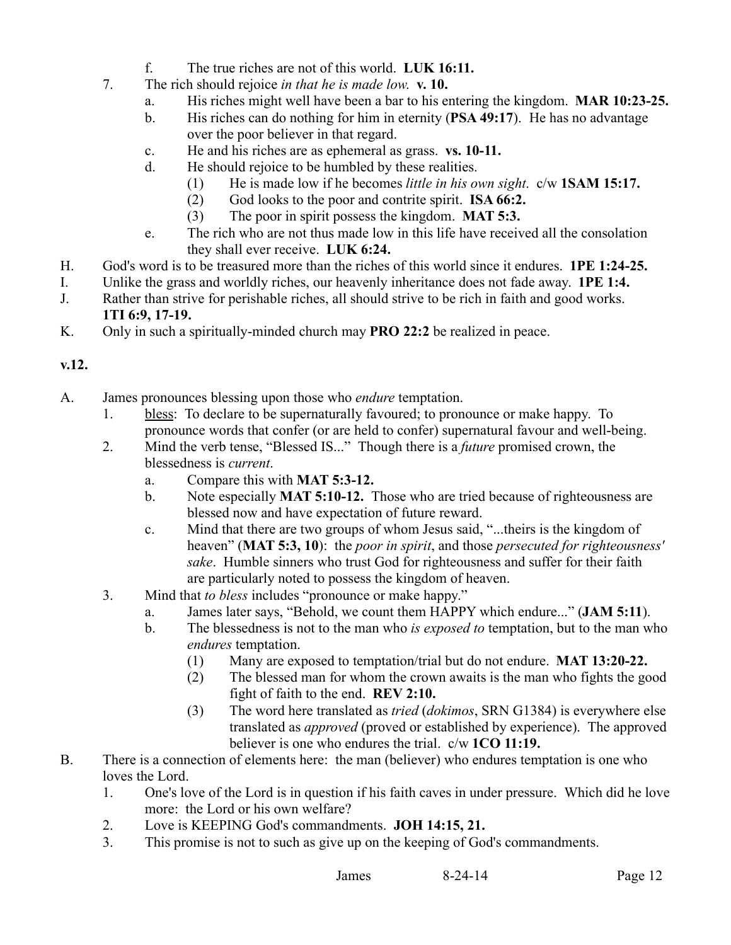- f. The true riches are not of this world. **LUK 16:11.**
- 7. The rich should rejoice *in that he is made low*. **v. 10.**
	- a. His riches might well have been a bar to his entering the kingdom. **MAR 10:23-25.**
	- b. His riches can do nothing for him in eternity (**PSA 49:17**). He has no advantage over the poor believer in that regard.
	- c. He and his riches are as ephemeral as grass. **vs. 10-11.**
	- d. He should rejoice to be humbled by these realities.
		- (1) He is made low if he becomes *little in his own sight*. c/w **1SAM 15:17.**
		- (2) God looks to the poor and contrite spirit. **ISA 66:2.**
		- (3) The poor in spirit possess the kingdom. **MAT 5:3.**
	- e. The rich who are not thus made low in this life have received all the consolation they shall ever receive. **LUK 6:24.**
- H. God's word is to be treasured more than the riches of this world since it endures. **1PE 1:24-25.**
- I. Unlike the grass and worldly riches, our heavenly inheritance does not fade away. **1PE 1:4.**
- J. Rather than strive for perishable riches, all should strive to be rich in faith and good works. **1TI 6:9, 17-19.**
- K. Only in such a spiritually-minded church may **PRO 22:2** be realized in peace.

#### **v.12.**

- A. James pronounces blessing upon those who *endure* temptation.
	- 1. bless: To declare to be supernaturally favoured; to pronounce or make happy. To pronounce words that confer (or are held to confer) supernatural favour and well-being.
	- 2. Mind the verb tense, "Blessed IS..." Though there is a *future* promised crown, the blessedness is *current*.
		- a. Compare this with **MAT 5:3-12.**
		- b. Note especially **MAT 5:10-12.** Those who are tried because of righteousness are blessed now and have expectation of future reward.
		- c. Mind that there are two groups of whom Jesus said, "...theirs is the kingdom of heaven" (**MAT 5:3, 10**): the *poor in spirit*, and those *persecuted for righteousness' sake*. Humble sinners who trust God for righteousness and suffer for their faith are particularly noted to possess the kingdom of heaven.
	- 3. Mind that *to bless* includes "pronounce or make happy."
		- a. James later says, "Behold, we count them HAPPY which endure..." (**JAM 5:11**).
		- b. The blessedness is not to the man who *is exposed to* temptation, but to the man who *endures* temptation.
			- (1) Many are exposed to temptation/trial but do not endure. **MAT 13:20-22.**
			- (2) The blessed man for whom the crown awaits is the man who fights the good fight of faith to the end. **REV 2:10.**
			- (3) The word here translated as *tried* (*dokimos*, SRN G1384) is everywhere else translated as *approved* (proved or established by experience). The approved believer is one who endures the trial. c/w **1CO 11:19.**
- B. There is a connection of elements here: the man (believer) who endures temptation is one who loves the Lord.
	- 1. One's love of the Lord is in question if his faith caves in under pressure. Which did he love more: the Lord or his own welfare?
	- 2. Love is KEEPING God's commandments. **JOH 14:15, 21.**
	- 3. This promise is not to such as give up on the keeping of God's commandments.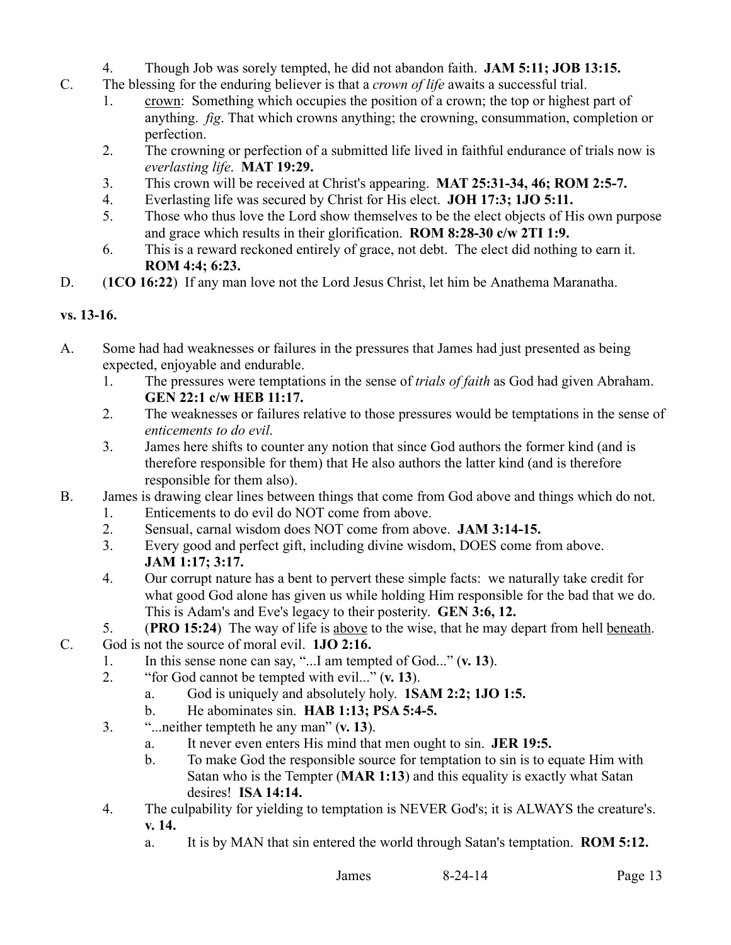- 4. Though Job was sorely tempted, he did not abandon faith. **JAM 5:11; JOB 13:15.**
- C. The blessing for the enduring believer is that a *crown of life* awaits a successful trial.
	- 1. crown: Something which occupies the position of a crown; the top or highest part of anything. *fig*. That which crowns anything; the crowning, consummation, completion or perfection.
	- 2. The crowning or perfection of a submitted life lived in faithful endurance of trials now is *everlasting life*. **MAT 19:29.**
	- 3. This crown will be received at Christ's appearing. **MAT 25:31-34, 46; ROM 2:5-7.**
	- 4. Everlasting life was secured by Christ for His elect. **JOH 17:3; 1JO 5:11.**
	- 5. Those who thus love the Lord show themselves to be the elect objects of His own purpose and grace which results in their glorification. **ROM 8:28-30 c/w 2TI 1:9.**
	- 6. This is a reward reckoned entirely of grace, not debt. The elect did nothing to earn it. **ROM 4:4; 6:23.**
- D. (**1CO 16:22**) If any man love not the Lord Jesus Christ, let him be Anathema Maranatha.

## **vs. 13-16.**

- A. Some had had weaknesses or failures in the pressures that James had just presented as being expected, enjoyable and endurable.
	- 1. The pressures were temptations in the sense of *trials of faith* as God had given Abraham. **GEN 22:1 c/w HEB 11:17.**
	- 2. The weaknesses or failures relative to those pressures would be temptations in the sense of *enticements to do evil*.
	- 3. James here shifts to counter any notion that since God authors the former kind (and is therefore responsible for them) that He also authors the latter kind (and is therefore responsible for them also).
- B. James is drawing clear lines between things that come from God above and things which do not.
	- 1. Enticements to do evil do NOT come from above.
	- 2. Sensual, carnal wisdom does NOT come from above. **JAM 3:14-15.**
	- 3. Every good and perfect gift, including divine wisdom, DOES come from above. **JAM 1:17; 3:17.**
	- 4. Our corrupt nature has a bent to pervert these simple facts: we naturally take credit for what good God alone has given us while holding Him responsible for the bad that we do. This is Adam's and Eve's legacy to their posterity. **GEN 3:6, 12.**
	- 5. (**PRO 15:24**) The way of life is above to the wise, that he may depart from hell beneath.
- C. God is not the source of moral evil. **1JO 2:16.**
	- 1. In this sense none can say, "...I am tempted of God..." (**v. 13**).
	- 2. "for God cannot be tempted with evil..." (**v. 13**).
		- a. God is uniquely and absolutely holy. **1SAM 2:2; 1JO 1:5.**
		- b. He abominates sin. **HAB 1:13; PSA 5:4-5.**
	- 3. "...neither tempteth he any man" (**v. 13**).
		- a. It never even enters His mind that men ought to sin. **JER 19:5.**
		- b. To make God the responsible source for temptation to sin is to equate Him with Satan who is the Tempter (**MAR 1:13**) and this equality is exactly what Satan desires! **ISA 14:14.**
	- 4. The culpability for yielding to temptation is NEVER God's; it is ALWAYS the creature's. **v. 14.**
		- a. It is by MAN that sin entered the world through Satan's temptation. **ROM 5:12.**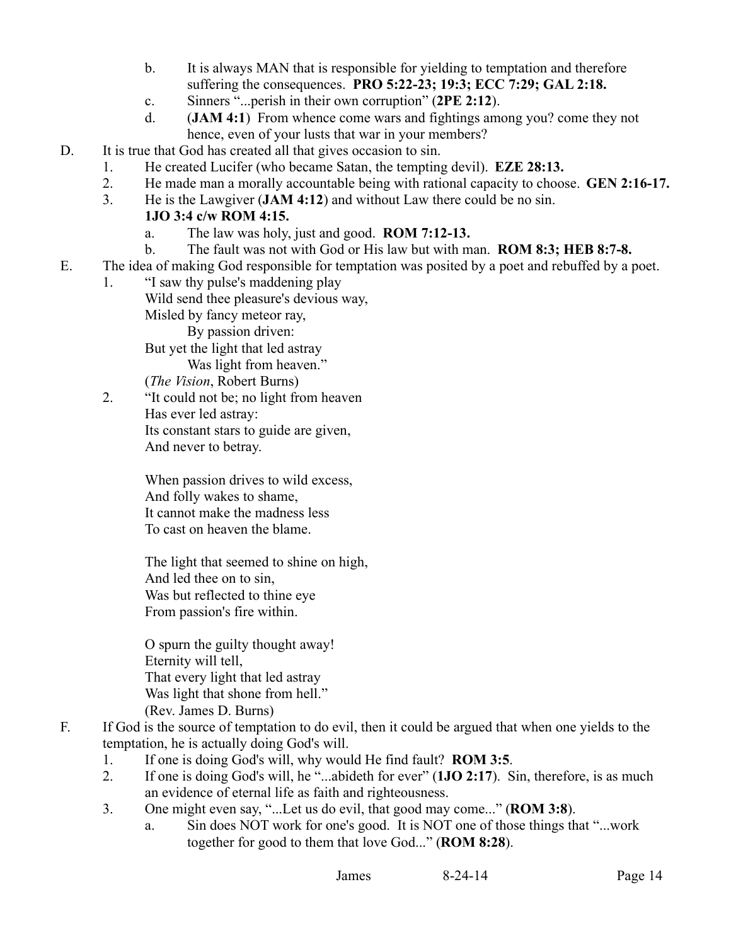- b. It is always MAN that is responsible for yielding to temptation and therefore suffering the consequences. **PRO 5:22-23; 19:3; ECC 7:29; GAL 2:18.**
- c. Sinners "...perish in their own corruption" (**2PE 2:12**).
- d. (**JAM 4:1**) From whence come wars and fightings among you? come they not hence, even of your lusts that war in your members?
- D. It is true that God has created all that gives occasion to sin.
	- 1. He created Lucifer (who became Satan, the tempting devil). **EZE 28:13.**
	- 2. He made man a morally accountable being with rational capacity to choose. **GEN 2:16-17.**
	- 3. He is the Lawgiver (**JAM 4:12**) and without Law there could be no sin.

## **1JO 3:4 c/w ROM 4:15.**

- a. The law was holy, just and good. **ROM 7:12-13.**
- b. The fault was not with God or His law but with man. **ROM 8:3; HEB 8:7-8.**
- E. The idea of making God responsible for temptation was posited by a poet and rebuffed by a poet.
	- 1. "I saw thy pulse's maddening play Wild send thee pleasure's devious way, Misled by fancy meteor ray, By passion driven: But yet the light that led astray

Was light from heaven."

(*The Vision*, Robert Burns)

2. "It could not be; no light from heaven Has ever led astray: Its constant stars to guide are given, And never to betray.

> When passion drives to wild excess, And folly wakes to shame, It cannot make the madness less To cast on heaven the blame.

The light that seemed to shine on high, And led thee on to sin, Was but reflected to thine eye From passion's fire within.

O spurn the guilty thought away! Eternity will tell, That every light that led astray Was light that shone from hell." (Rev. James D. Burns)

- F. If God is the source of temptation to do evil, then it could be argued that when one yields to the temptation, he is actually doing God's will.
	- 1. If one is doing God's will, why would He find fault? **ROM 3:5**.
	- 2. If one is doing God's will, he "...abideth for ever" (**1JO 2:17**). Sin, therefore, is as much an evidence of eternal life as faith and righteousness.
	- 3. One might even say, "...Let us do evil, that good may come..." (**ROM 3:8**).
		- a. Sin does NOT work for one's good. It is NOT one of those things that "...work together for good to them that love God..." (**ROM 8:28**).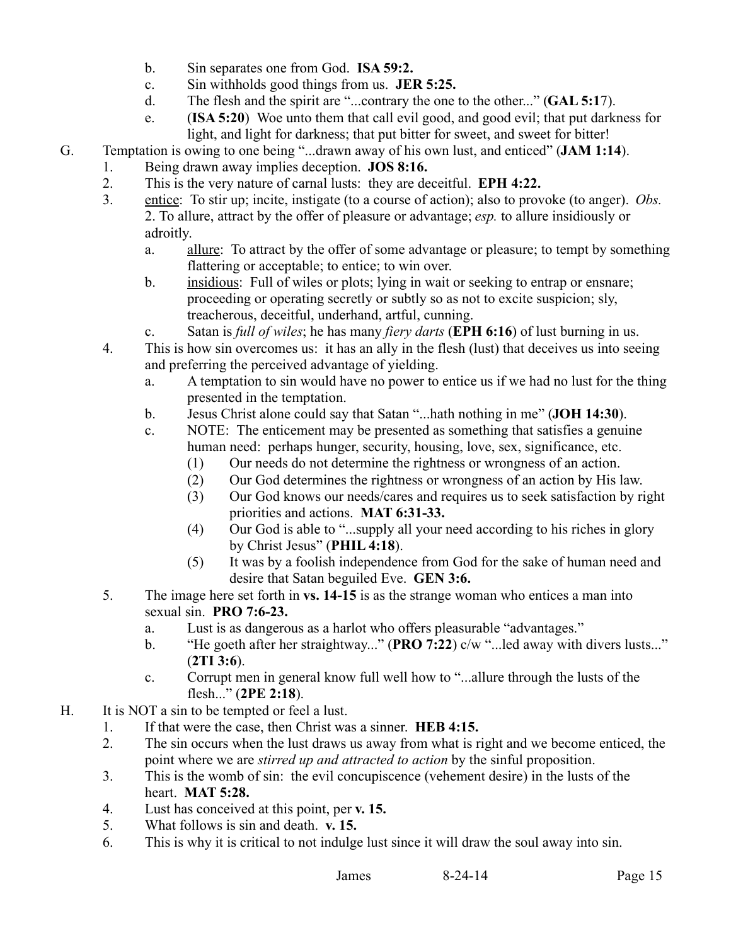- b. Sin separates one from God. **ISA 59:2.**
- c. Sin withholds good things from us. **JER 5:25.**
- d. The flesh and the spirit are "...contrary the one to the other..." (**GAL 5:1**7).
- e. (**ISA 5:20**) Woe unto them that call evil good, and good evil; that put darkness for light, and light for darkness; that put bitter for sweet, and sweet for bitter!
- G. Temptation is owing to one being "...drawn away of his own lust, and enticed" (**JAM 1:14**).
	- 1. Being drawn away implies deception. **JOS 8:16.**
		- 2. This is the very nature of carnal lusts: they are deceitful. **EPH 4:22.**
		- 3. entice: To stir up; incite, instigate (to a course of action); also to provoke (to anger). *Obs.* 2. To allure, attract by the offer of pleasure or advantage; *esp.* to allure insidiously or adroitly.
			- a. allure: To attract by the offer of some advantage or pleasure; to tempt by something flattering or acceptable; to entice; to win over.
			- b. insidious: Full of wiles or plots; lying in wait or seeking to entrap or ensnare; proceeding or operating secretly or subtly so as not to excite suspicion; sly, treacherous, deceitful, underhand, artful, cunning.
			- c. Satan is *full of wiles*; he has many *fiery darts* (**EPH 6:16**) of lust burning in us.
		- 4. This is how sin overcomes us: it has an ally in the flesh (lust) that deceives us into seeing and preferring the perceived advantage of yielding.
			- a. A temptation to sin would have no power to entice us if we had no lust for the thing presented in the temptation.
			- b. Jesus Christ alone could say that Satan "...hath nothing in me" (**JOH 14:30**).
			- c. NOTE: The enticement may be presented as something that satisfies a genuine human need: perhaps hunger, security, housing, love, sex, significance, etc.
				- (1) Our needs do not determine the rightness or wrongness of an action.
				- (2) Our God determines the rightness or wrongness of an action by His law.
				- (3) Our God knows our needs/cares and requires us to seek satisfaction by right priorities and actions. **MAT 6:31-33.**
				- (4) Our God is able to "...supply all your need according to his riches in glory by Christ Jesus" (**PHIL 4:18**).
				- (5) It was by a foolish independence from God for the sake of human need and desire that Satan beguiled Eve. **GEN 3:6.**
		- 5. The image here set forth in **vs. 14-15** is as the strange woman who entices a man into sexual sin. **PRO 7:6-23.**
			- a. Lust is as dangerous as a harlot who offers pleasurable "advantages."
			- b. "He goeth after her straightway..." (**PRO 7:22**) c/w "...led away with divers lusts..." (**2TI 3:6**).
			- c. Corrupt men in general know full well how to "...allure through the lusts of the flesh..." (**2PE 2:18**).
- H. It is NOT a sin to be tempted or feel a lust.
	- 1. If that were the case, then Christ was a sinner. **HEB 4:15.**
	- 2. The sin occurs when the lust draws us away from what is right and we become enticed, the point where we are *stirred up and attracted to action* by the sinful proposition.
	- 3. This is the womb of sin: the evil concupiscence (vehement desire) in the lusts of the heart. **MAT 5:28.**
	- 4. Lust has conceived at this point, per **v. 15.**
	- 5. What follows is sin and death. **v. 15.**
	- 6. This is why it is critical to not indulge lust since it will draw the soul away into sin.